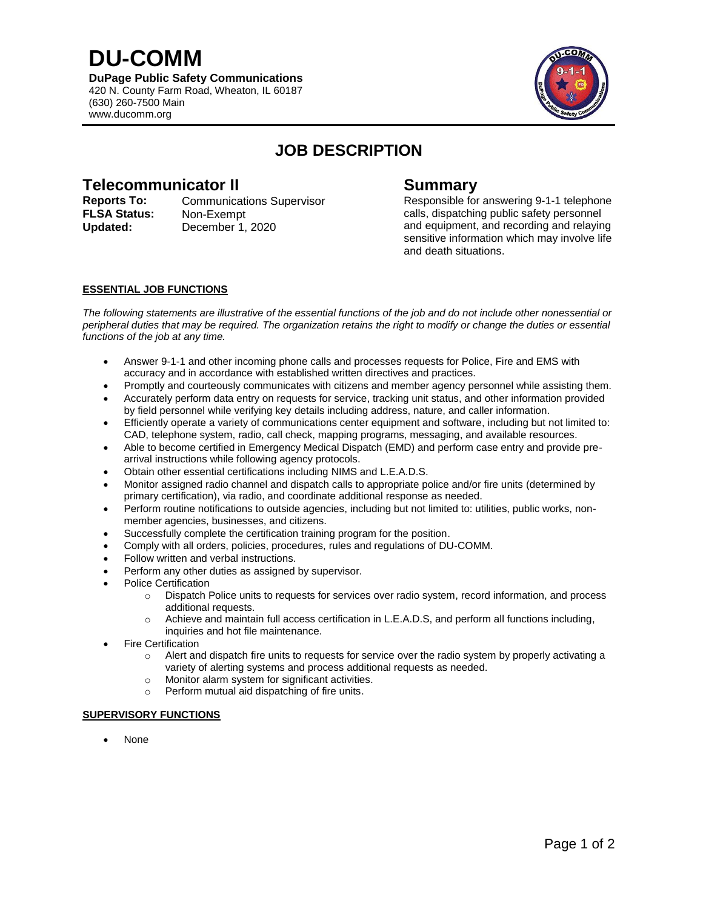**DU-COMM DuPage Public Safety Communications** 420 N. County Farm Road, Wheaton, IL 60187 (630) 260-7500 Main www.ducomm.org



# **JOB DESCRIPTION**

## **Telecommunicator II Summary**

**Reports To:** Communications Supervisor Responsible for answering 9-1-1 telephone **FLSA Status:** Non-Exempt **Updated:** December 1, 2020

calls, dispatching public safety personnel and equipment, and recording and relaying sensitive information which may involve life and death situations.

### **ESSENTIAL JOB FUNCTIONS**

*The following statements are illustrative of the essential functions of the job and do not include other nonessential or peripheral duties that may be required. The organization retains the right to modify or change the duties or essential functions of the job at any time.*

- Answer 9-1-1 and other incoming phone calls and processes requests for Police, Fire and EMS with accuracy and in accordance with established written directives and practices.
- Promptly and courteously communicates with citizens and member agency personnel while assisting them.
- Accurately perform data entry on requests for service, tracking unit status, and other information provided by field personnel while verifying key details including address, nature, and caller information.
- Efficiently operate a variety of communications center equipment and software, including but not limited to: CAD, telephone system, radio, call check, mapping programs, messaging, and available resources.
- Able to become certified in Emergency Medical Dispatch (EMD) and perform case entry and provide prearrival instructions while following agency protocols.
- Obtain other essential certifications including NIMS and L.E.A.D.S.
- Monitor assigned radio channel and dispatch calls to appropriate police and/or fire units (determined by primary certification), via radio, and coordinate additional response as needed.
- Perform routine notifications to outside agencies, including but not limited to: utilities, public works, nonmember agencies, businesses, and citizens.
- Successfully complete the certification training program for the position.
- Comply with all orders, policies, procedures, rules and regulations of DU-COMM.
- Follow written and verbal instructions.
- Perform any other duties as assigned by supervisor.
- Police Certification
	- $\circ$  Dispatch Police units to requests for services over radio system, record information, and process additional requests.
	- o Achieve and maintain full access certification in L.E.A.D.S, and perform all functions including, inquiries and hot file maintenance.
- Fire Certification
	- o Alert and dispatch fire units to requests for service over the radio system by properly activating a variety of alerting systems and process additional requests as needed.
	- o Monitor alarm system for significant activities.
	- o Perform mutual aid dispatching of fire units.

#### **SUPERVISORY FUNCTIONS**

None